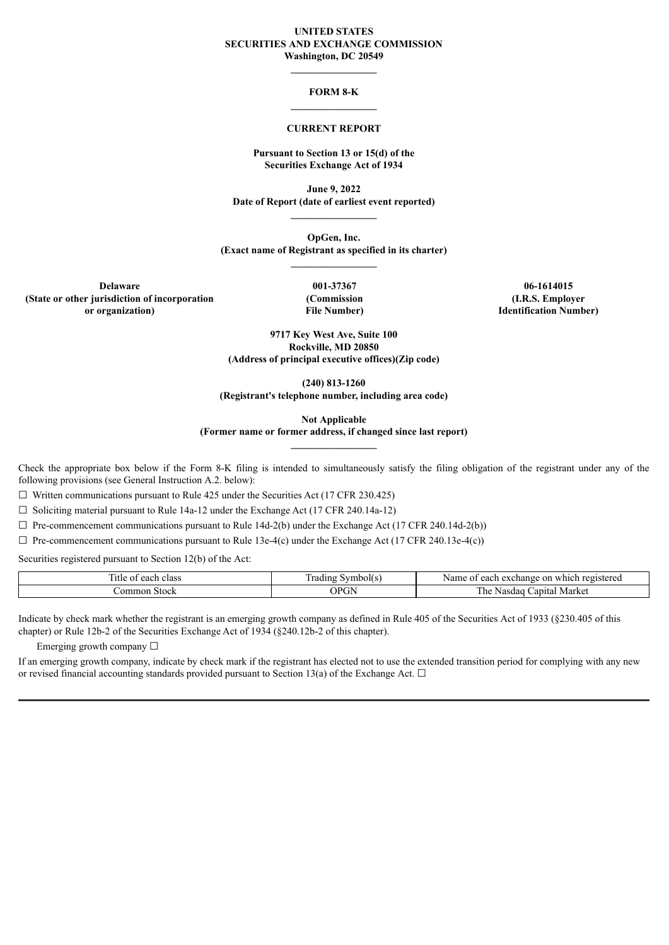#### **UNITED STATES SECURITIES AND EXCHANGE COMMISSION Washington, DC 20549**

### **FORM 8-K \_\_\_\_\_\_\_\_\_\_\_\_\_\_\_\_\_**

#### **CURRENT REPORT**

#### **Pursuant to Section 13 or 15(d) of the Securities Exchange Act of 1934**

**June 9, 2022 Date of Report (date of earliest event reported)**

**OpGen, Inc. (Exact name of Registrant as specified in its charter) \_\_\_\_\_\_\_\_\_\_\_\_\_\_\_\_\_**

**Delaware (State or other jurisdiction of incorporation or organization)**

**001-37367 (Commission File Number)**

**06-1614015 (I.R.S. Employer Identification Number)**

**9717 Key West Ave, Suite 100 Rockville, MD 20850 (Address of principal executive offices)(Zip code)**

**(240) 813-1260 (Registrant's telephone number, including area code)**

**Not Applicable**

**(Former name or former address, if changed since last report)**

Check the appropriate box below if the Form 8-K filing is intended to simultaneously satisfy the filing obligation of the registrant under any of the following provisions (see General Instruction A.2. below):

 $\Box$  Written communications pursuant to Rule 425 under the Securities Act (17 CFR 230.425)

 $\Box$  Soliciting material pursuant to Rule 14a-12 under the Exchange Act (17 CFR 240.14a-12)

 $\Box$  Pre-commencement communications pursuant to Rule 14d-2(b) under the Exchange Act (17 CFR 240.14d-2(b))

 $\Box$  Pre-commencement communications pursuant to Rule 13e-4(c) under the Exchange Act (17 CFR 240.13e-4(c))

Securities registered pursuant to Section 12(b) of the Act:

| $-1$<br>utle<br>class<br>each<br>01 | $\sim$<br>vmbolt s<br>adıng | registerer<br>Name 6<br>each<br>-on<br>exchange<br>which<br>- 1910 1911 |
|-------------------------------------|-----------------------------|-------------------------------------------------------------------------|
| .ommon<br>. Stock                   | OPGN<br>U                   | mı<br>∴apıtal Market<br>Nasdau<br>. he                                  |

Indicate by check mark whether the registrant is an emerging growth company as defined in Rule 405 of the Securities Act of 1933 (§230.405 of this chapter) or Rule 12b-2 of the Securities Exchange Act of 1934 (§240.12b-2 of this chapter).

Emerging growth company  $\Box$ 

If an emerging growth company, indicate by check mark if the registrant has elected not to use the extended transition period for complying with any new or revised financial accounting standards provided pursuant to Section 13(a) of the Exchange Act.  $\Box$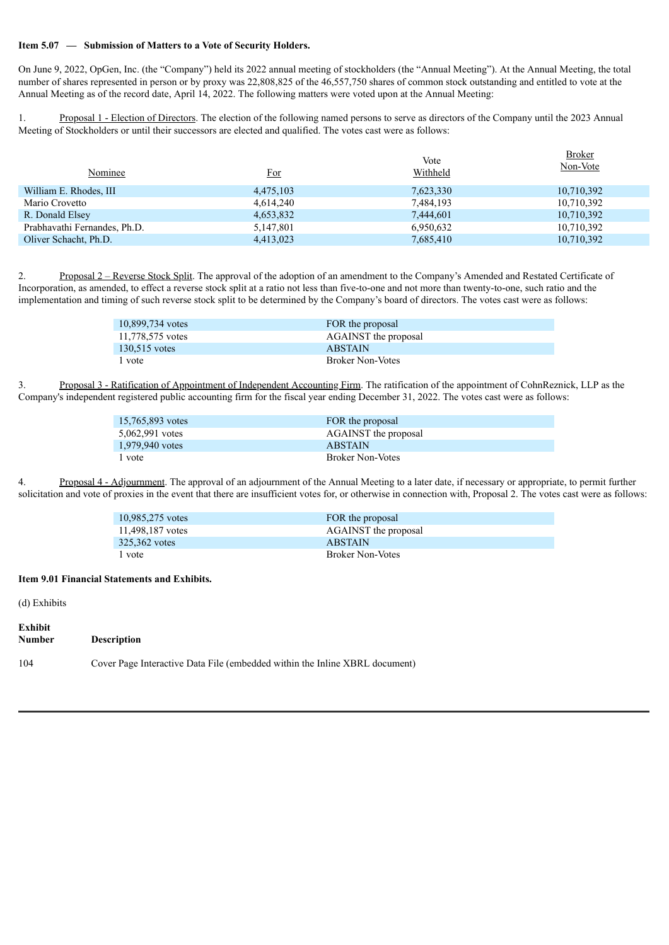## **Item 5.07 — Submission of Matters to a Vote of Security Holders.**

On June 9, 2022, OpGen, Inc. (the "Company") held its 2022 annual meeting of stockholders (the "Annual Meeting"). At the Annual Meeting, the total number of shares represented in person or by proxy was 22,808,825 of the 46,557,750 shares of common stock outstanding and entitled to vote at the Annual Meeting as of the record date, April 14, 2022. The following matters were voted upon at the Annual Meeting:

1. Proposal 1 - Election of Directors. The election of the following named persons to serve as directors of the Company until the 2023 Annual Meeting of Stockholders or until their successors are elected and qualified. The votes cast were as follows:

| Nominee                      | <u>For</u> | Vote<br>Withheld | <b>Broker</b><br>Non-Vote |
|------------------------------|------------|------------------|---------------------------|
| William E. Rhodes, III       | 4,475,103  | 7,623,330        | 10,710,392                |
| Mario Crovetto               | 4,614,240  | 7,484,193        | 10,710,392                |
| R. Donald Elsey              | 4,653,832  | 7,444,601        | 10,710,392                |
| Prabhavathi Fernandes, Ph.D. | 5,147,801  | 6,950,632        | 10,710,392                |
| Oliver Schacht, Ph.D.        | 4,413,023  | 7,685,410        | 10,710,392                |

2. Proposal 2 – Reverse Stock Split. The approval of the adoption of an amendment to the Company's Amended and Restated Certificate of Incorporation, as amended, to effect a reverse stock split at a ratio not less than five-to-one and not more than twenty-to-one, such ratio and the implementation and timing of such reverse stock split to be determined by the Company's board of directors. The votes cast were as follows:

| 10,899,734 votes | FOR the proposal     |
|------------------|----------------------|
| 11.778.575 votes | AGAINST the proposal |
| 130.515 votes    | <b>ABSTAIN</b>       |
| 1 vote           | Broker Non-Votes     |

3. Proposal 3 - Ratification of Appointment of Independent Accounting Firm. The ratification of the appointment of CohnReznick, LLP as the Company's independent registered public accounting firm for the fiscal year ending December 31, 2022. The votes cast were as follows:

| 15,765,893 votes | FOR the proposal        |
|------------------|-------------------------|
| 5.062.991 votes  | AGAINST the proposal    |
| 1.979.940 votes  | <b>ABSTAIN</b>          |
| l vote           | <b>Broker Non-Votes</b> |

4. Proposal 4 - Adjournment. The approval of an adjournment of the Annual Meeting to a later date, if necessary or appropriate, to permit further solicitation and vote of proxies in the event that there are insufficient votes for, or otherwise in connection with, Proposal 2. The votes cast were as follows:

| 10,985,275 votes | FOR the proposal            |
|------------------|-----------------------------|
| 11.498.187 votes | <b>AGAINST</b> the proposal |
| 325,362 votes    | <b>ABSTAIN</b>              |
| l vote           | <b>Broker Non-Votes</b>     |

#### **Item 9.01 Financial Statements and Exhibits.**

(d) Exhibits

| Exhibit<br>Number | <b>Description</b>                                                          |
|-------------------|-----------------------------------------------------------------------------|
| 104               | Cover Page Interactive Data File (embedded within the Inline XBRL document) |